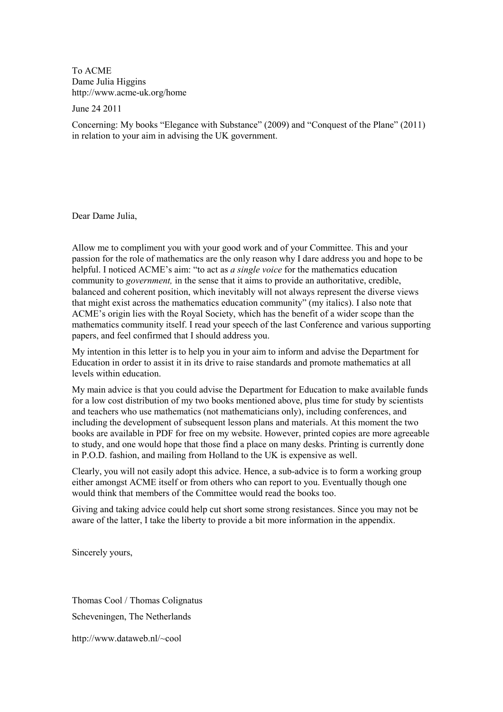To ACME Dame Julia Higgins http://www.acme-uk.org/home

June 24 2011

Concerning: My books "Elegance with Substance" (2009) and "Conquest of the Plane" (2011) in relation to your aim in advising the UK government.

Dear Dame Julia,

Allow me to compliment you with your good work and of your Committee. This and your passion for the role of mathematics are the only reason why I dare address you and hope to be helpful. I noticed ACME's aim: "to act as *a single voice* for the mathematics education community to *government*, in the sense that it aims to provide an authoritative, credible, balanced and coherent position, which inevitably will not always represent the diverse views that might exist across the mathematics education community" (my italics). I also note that ACME's origin lies with the Royal Society, which has the benefit of a wider scope than the mathematics community itself. I read your speech of the last Conference and various supporting papers, and feel confirmed that I should address you.

My intention in this letter is to help you in your aim to inform and advise the Department for Education in order to assist it in its drive to raise standards and promote mathematics at all levels within education.

My main advice is that you could advise the Department for Education to make available funds for a low cost distribution of my two books mentioned above, plus time for study by scientists and teachers who use mathematics (not mathematicians only), including conferences, and including the development of subsequent lesson plans and materials. At this moment the two books are available in PDF for free on my website. However, printed copies are more agreeable to study, and one would hope that those find a place on many desks. Printing is currently done in P.O.D. fashion, and mailing from Holland to the UK is expensive as well.

Clearly, you will not easily adopt this advice. Hence, a sub-advice is to form a working group either amongst ACME itself or from others who can report to you. Eventually though one would think that members of the Committee would read the books too.

Giving and taking advice could help cut short some strong resistances. Since you may not be aware of the latter, I take the liberty to provide a bit more information in the appendix.

Sincerely yours,

Thomas Cool / Thomas Colignatus Scheveningen, The Netherlands

http://www.dataweb.nl/~cool